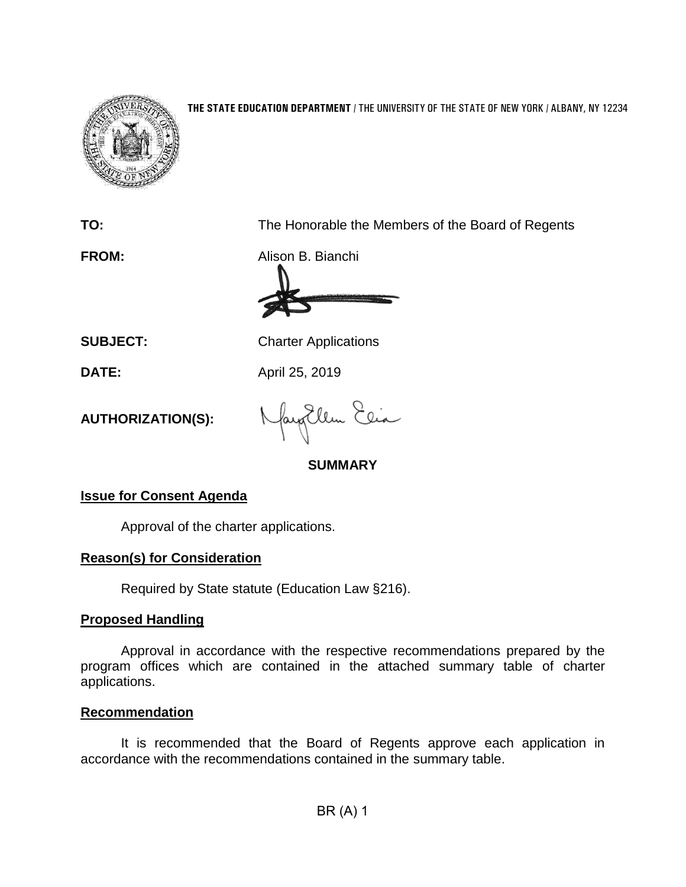

#### **THE STATE EDUCATION DEPARTMENT** / THE UNIVERSITY OF THE STATE OF NEW YORK / ALBANY, NY 12234

**TO:** The Honorable the Members of the Board of Regents

**FROM:** Alison B. Bianchi

**SUBJECT:** Charter Applications

**DATE:** April 25, 2019

**AUTHORIZATION(S):**

fayEllen Elia

## **SUMMARY**

## **Issue for Consent Agenda**

Approval of the charter applications.

### **Reason(s) for Consideration**

Required by State statute (Education Law §216).

## **Proposed Handling**

Approval in accordance with the respective recommendations prepared by the program offices which are contained in the attached summary table of charter applications.

### **Recommendation**

It is recommended that the Board of Regents approve each application in accordance with the recommendations contained in the summary table.